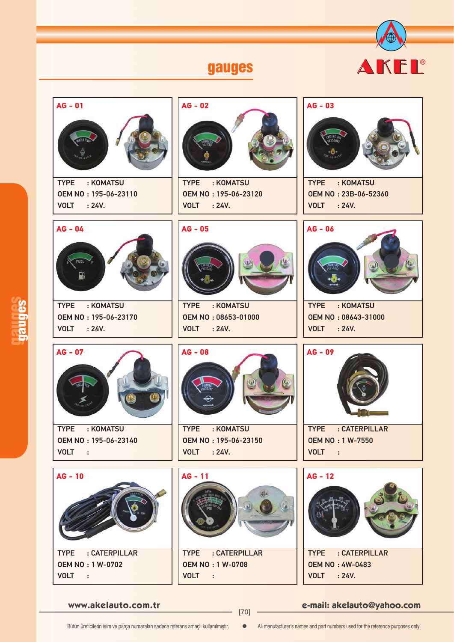



**www.akelauto.com.tr e-mail: akelauto@yahoo.com** [70]

Bütün üreticilerin isim ve parça numaraları sadece referans amaçlı kullanılmıştır.  $\bullet$  All manufacturer's names and part numbers used for the reference purposes only.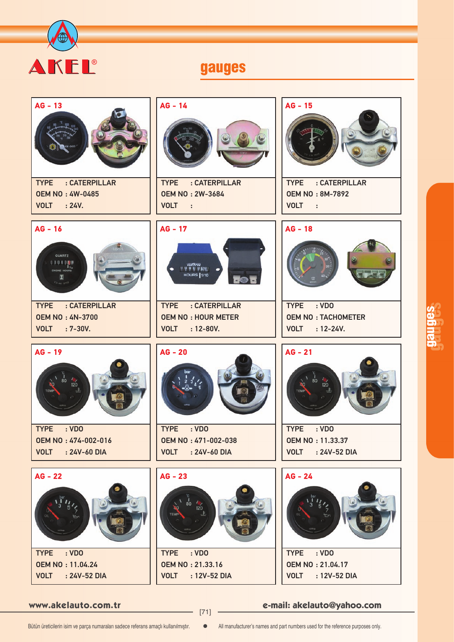

| $AG - 13$<br>: CATERPILLAR<br><b>TYPE</b><br><b>OEM NO: 4W-0485</b><br><b>VOLT</b><br>$\therefore$ 24V.                                                                                                                           | $AG - 14$<br>: CATERPILLAR<br><b>TYPE</b><br><b>OEM NO: 2W-3684</b><br><b>VOLT</b><br>$\sim$ 10                                                | $AG - 15$<br>: CATERPILLAR<br><b>TYPE</b><br><b>OEM NO: 8M-7892</b><br><b>VOLT</b><br>$\sim$ 11                     |
|-----------------------------------------------------------------------------------------------------------------------------------------------------------------------------------------------------------------------------------|------------------------------------------------------------------------------------------------------------------------------------------------|---------------------------------------------------------------------------------------------------------------------|
| $AG - 16$<br>QUARTZ<br>000000<br>$\begin{array}{c} \mathbf{I}_{y_{10}} \\ \mathbf{ENGINE\,\, HOUNS} \end{array}$<br>я<br>$v_{3-4N-3700}$<br>: CATERPILLAR<br><b>TYPE</b><br><b>OEM NO: 4N-3700</b><br><b>VOLT</b><br>$: 7 - 30V.$ | $AG - 17$<br>veethree<br>uuuuyes<br><b>HOURS</b> 1/10<br>50<br>TYPE : CATERPILLAR<br><b>OEM NO: HOUR METER</b><br><b>VOLT</b><br>$: 12 - 80V.$ | $AG - 18$<br>: VDO<br><b>TYPE</b><br><b>OEM NO: TACHOMETER</b><br><b>VOLT</b><br>$: 12 - 24V.$                      |
| $AG - 19$                                                                                                                                                                                                                         | $AG - 20$                                                                                                                                      | $AG - 21$                                                                                                           |
| $\ddot{\text{80}}$<br>120<br>TEMP<br><b>TYPE</b><br>: VDO<br><b>OEM NO: 474-002-016</b><br><b>VOLT</b><br>: 24V-60 DIA                                                                                                            | <b>TYPE</b><br>: VDO<br>OEM NO: 471-002-038<br><b>VOLT</b><br>: 24V-60 DIA                                                                     | $80^{\circ}$<br>Ъò<br>120<br>TEMP<br><b>TYPE</b><br>: VDO<br><b>OEM NO: 11.33.37</b><br><b>VOLT</b><br>: 24V-52 DIA |

**www.akelauto.com.tr e-mail: akelauto@yahoo.com** [71]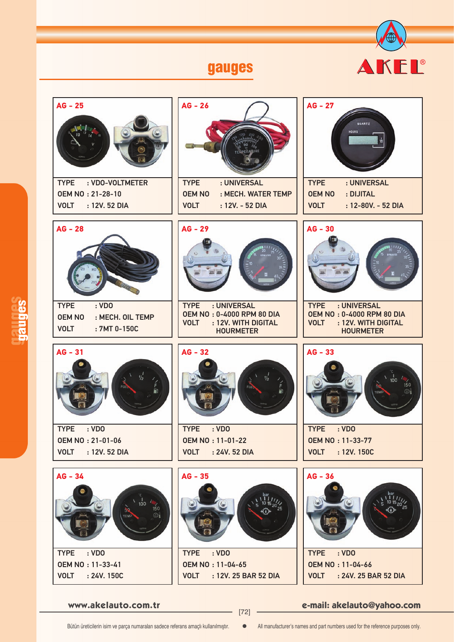



**www.akelauto.com.tr e-mail: akelauto@yahoo.com** [72]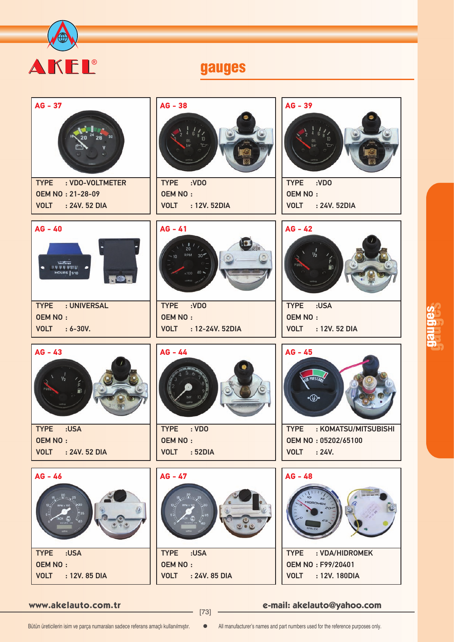



**www.akelauto.com.tr e-mail: akelauto@yahoo.com** [73]

gauges